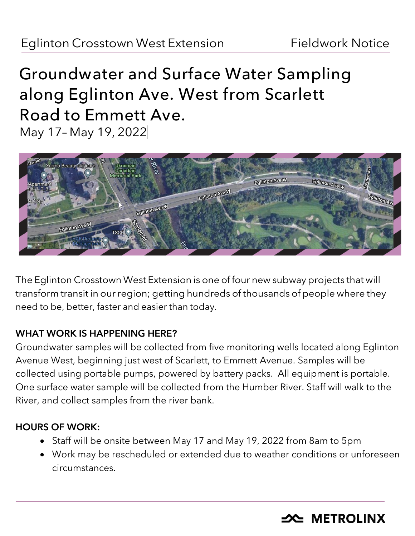# **Groundwater and Surface Water Sampling along Eglinton Ave. West from Scarlett Road to Emmett Ave.** May 17– May 19, 2022



The Eglinton Crosstown West Extension is one of four new subway projects that will transform transit in our region; getting hundreds of thousands of people where they need to be, better, faster and easier than today.

### WHAT WORK IS HAPPENING HERE?

Groundwater samples will be collected from five monitoring wells located along Eglinton Avenue West, beginning just west of Scarlett, to Emmett Avenue. Samples will be collected using portable pumps, powered by battery packs. All equipment is portable. One surface water sample will be collected from the Humber River. Staff will walk to the River, and collect samples from the river bank.

## HOURS OF WORK:

- Staff will be onsite between May 17 and May 19, 2022 from 8am to 5pm
- Work may be rescheduled or extended due to weather conditions or unforeseen circumstances.